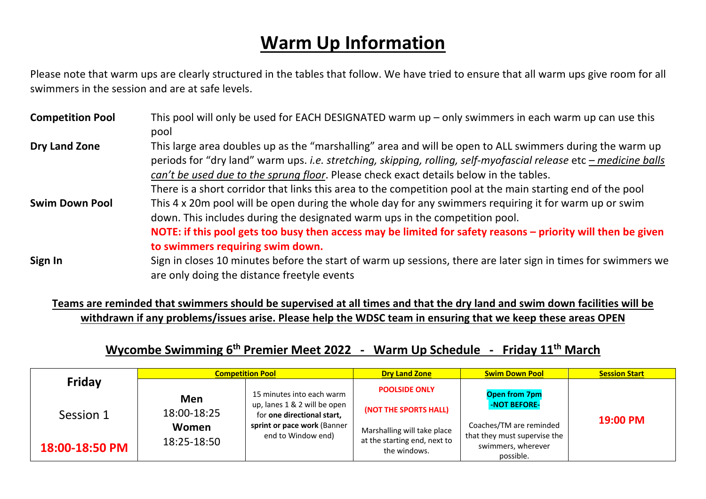## **Warm Up Information**

Please note that warm ups are clearly structured in the tables that follow. We have tried to ensure that all warm ups give room for all swimmers in the session and are at safe levels.

| <b>Competition Pool</b> | This pool will only be used for EACH DESIGNATED warm $up$ – only swimmers in each warm up can use this<br>pool                                                                                                                                                                                                                                                                                                                         |
|-------------------------|----------------------------------------------------------------------------------------------------------------------------------------------------------------------------------------------------------------------------------------------------------------------------------------------------------------------------------------------------------------------------------------------------------------------------------------|
| <b>Dry Land Zone</b>    | This large area doubles up as the "marshalling" area and will be open to ALL swimmers during the warm up<br>periods for "dry land" warm ups. i.e. stretching, skipping, rolling, self-myofascial release etc – medicine balls<br>can't be used due to the sprung floor. Please check exact details below in the tables.<br>There is a short corridor that links this area to the competition pool at the main starting end of the pool |
| <b>Swim Down Pool</b>   | This 4 x 20m pool will be open during the whole day for any swimmers requiring it for warm up or swim<br>down. This includes during the designated warm ups in the competition pool.<br>NOTE: if this pool gets too busy then access may be limited for safety reasons – priority will then be given<br>to swimmers requiring swim down.                                                                                               |
| Sign In                 | Sign in closes 10 minutes before the start of warm up sessions, there are later sign in times for swimmers we<br>are only doing the distance freetyle events                                                                                                                                                                                                                                                                           |

**Teams are reminded that swimmers should be supervised at all times and that the dry land and swim down facilities will be withdrawn if any problems/issues arise. Please help the WDSC team in ensuring that we keep these areas OPEN**

## **Wycombe Swimming 6th Premier Meet 2022 - Warm Up Schedule - Friday 11th March**

|                | <b>Competition Pool</b>                                          |                             | <b>Dry Land Zone</b>                         | <b>Swim Down Pool</b>                                           | <b>Session Start</b> |
|----------------|------------------------------------------------------------------|-----------------------------|----------------------------------------------|-----------------------------------------------------------------|----------------------|
| <b>Friday</b>  | 15 minutes into each warm<br>Men<br>up, lanes 1 & 2 will be open | <b>POOLSIDE ONLY</b>        | <b>Open from 7pm</b><br>-NOT BEFORE-         |                                                                 |                      |
| Session 1      | 18:00-18:25                                                      | for one directional start,  | (NOT THE SPORTS HALL)                        |                                                                 | 19:00 PM             |
|                | Women                                                            | sprint or pace work (Banner | Marshalling will take place                  | Coaches/TM are reminded                                         |                      |
| 18:00-18:50 PM | 18:25-18:50                                                      | end to Window end)          | at the starting end, next to<br>the windows. | that they must supervise the<br>swimmers, wherever<br>possible. |                      |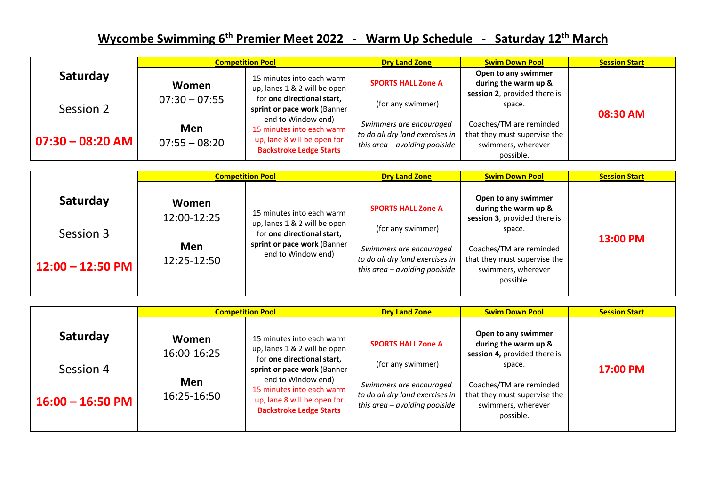## **Wycombe Swimming 6th Premier Meet 2022 - Warm Up Schedule - Saturday 12th March**

|                     | <b>Competition Pool</b> |                                                                                                                  | <b>Dry Land Zone</b>                                                                        | <b>Swim Down Pool</b>                                                                      | <b>Session Start</b> |
|---------------------|-------------------------|------------------------------------------------------------------------------------------------------------------|---------------------------------------------------------------------------------------------|--------------------------------------------------------------------------------------------|----------------------|
| Saturday            | Women                   | 15 minutes into each warm<br>up, lanes 1 & 2 will be open                                                        | <b>SPORTS HALL Zone A</b>                                                                   | Open to any swimmer<br>during the warm up &<br>session 2, provided there is                |                      |
| Session 2           | $07:30 - 07:55$         | for one directional start,<br>sprint or pace work (Banner                                                        | (for any swimmer)                                                                           | space.                                                                                     | 08:30 AM             |
| $ 07:30 - 08:20$ AM | Men<br>$07:55 - 08:20$  | end to Window end)<br>15 minutes into each warm<br>up, lane 8 will be open for<br><b>Backstroke Ledge Starts</b> | Swimmers are encouraged<br>to do all dry land exercises in<br>this area – avoiding poolside | Coaches/TM are reminded<br>that they must supervise the<br>swimmers, wherever<br>possible. |                      |

|                                             | <b>Competition Pool</b>                                                                                                                                                                    | <b>Dry Land Zone</b>                                                                                                                            | <b>Swim Down Pool</b>                                                                                                                                                               | <b>Session Start</b> |
|---------------------------------------------|--------------------------------------------------------------------------------------------------------------------------------------------------------------------------------------------|-------------------------------------------------------------------------------------------------------------------------------------------------|-------------------------------------------------------------------------------------------------------------------------------------------------------------------------------------|----------------------|
| Saturday<br>Session 3<br>$12:00 - 12:50$ PM | Women<br>15 minutes into each warm<br>12:00-12:25<br>up, lanes 1 & 2 will be open<br>for one directional start,<br>sprint or pace work (Banner<br>Men<br>end to Window end)<br>12:25-12:50 | <b>SPORTS HALL Zone A</b><br>(for any swimmer)<br>Swimmers are encouraged<br>to do all dry land exercises in<br>this area $-$ avoiding poolside | Open to any swimmer<br>during the warm up &<br>session 3, provided there is<br>space.<br>Coaches/TM are reminded<br>that they must supervise the<br>swimmers, wherever<br>possible. | 13:00 PM             |

|                                             | <b>Competition Pool</b>                           |                                                                                                                                                                                                                                            | <b>Dry Land Zone</b>                                                                                                                          | <b>Swim Down Pool</b>                                                                                                                                                               | <b>Session Start</b> |
|---------------------------------------------|---------------------------------------------------|--------------------------------------------------------------------------------------------------------------------------------------------------------------------------------------------------------------------------------------------|-----------------------------------------------------------------------------------------------------------------------------------------------|-------------------------------------------------------------------------------------------------------------------------------------------------------------------------------------|----------------------|
| Saturday<br>Session 4<br>$16:00 - 16:50$ PM | Women<br>16:00-16:25<br><b>Men</b><br>16:25-16:50 | 15 minutes into each warm<br>up, lanes 1 & 2 will be open<br>for one directional start,<br>sprint or pace work (Banner<br>end to Window end)<br>15 minutes into each warm<br>up, lane 8 will be open for<br><b>Backstroke Ledge Starts</b> | <b>SPORTS HALL Zone A</b><br>(for any swimmer)<br>Swimmers are encouraged<br>to do all dry land exercises in<br>this area - avoiding poolside | Open to any swimmer<br>during the warm up &<br>session 4, provided there is<br>space.<br>Coaches/TM are reminded<br>that they must supervise the<br>swimmers, wherever<br>possible. | 17:00 PM             |